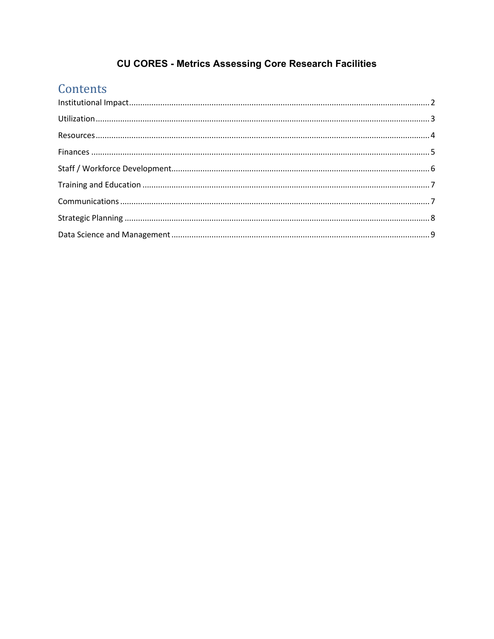#### **CU CORES - Metrics Assessing Core Research Facilities**

### Contents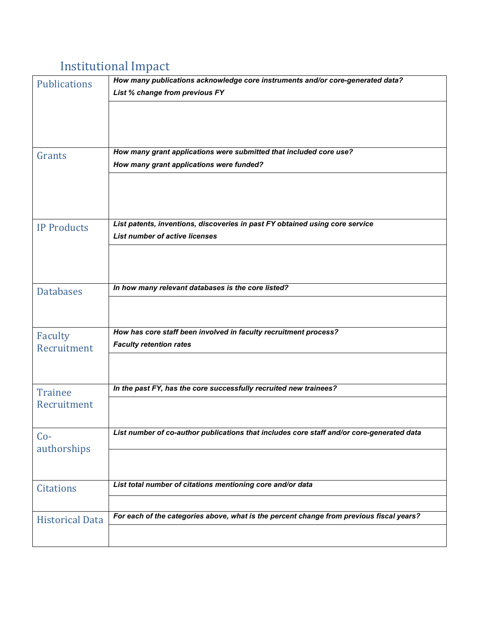# <span id="page-1-0"></span>Institutional Impact

| <b>Publications</b>           | How many publications acknowledge core instruments and/or core-generated data?            |
|-------------------------------|-------------------------------------------------------------------------------------------|
|                               | List % change from previous FY                                                            |
|                               |                                                                                           |
|                               |                                                                                           |
|                               | How many grant applications were submitted that included core use?                        |
| Grants                        | How many grant applications were funded?                                                  |
|                               |                                                                                           |
|                               |                                                                                           |
|                               |                                                                                           |
| <b>IP Products</b>            | List patents, inventions, discoveries in past FY obtained using core service              |
|                               | List number of active licenses                                                            |
|                               |                                                                                           |
|                               |                                                                                           |
| <b>Databases</b>              | In how many relevant databases is the core listed?                                        |
|                               |                                                                                           |
|                               |                                                                                           |
| Faculty                       | How has core staff been involved in faculty recruitment process?                          |
| Recruitment                   | <b>Faculty retention rates</b>                                                            |
|                               |                                                                                           |
|                               | In the past FY, has the core successfully recruited new trainees?                         |
| <b>Trainee</b><br>Recruitment |                                                                                           |
|                               |                                                                                           |
| $Co-$                         | List number of co-author publications that includes core staff and/or core-generated data |
| authorships                   |                                                                                           |
|                               |                                                                                           |
|                               | List total number of citations mentioning core and/or data                                |
| <b>Citations</b>              |                                                                                           |
|                               | For each of the categories above, what is the percent change from previous fiscal years?  |
| <b>Historical Data</b>        |                                                                                           |
|                               |                                                                                           |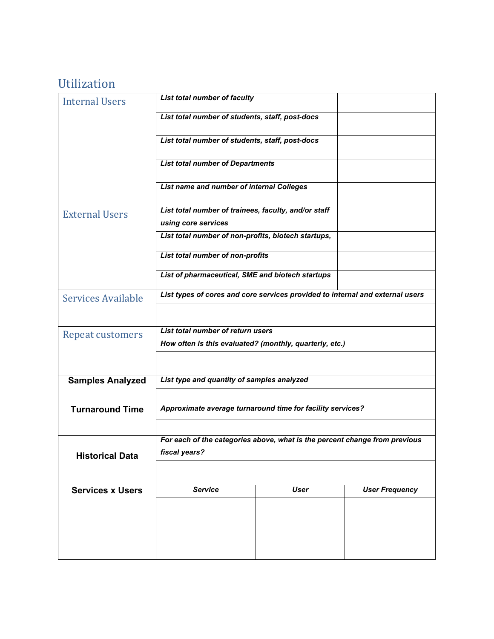### <span id="page-2-0"></span>Utilization

| <b>Internal Users</b>     | List total number of faculty                                                                 |             |                       |
|---------------------------|----------------------------------------------------------------------------------------------|-------------|-----------------------|
|                           | List total number of students, staff, post-docs                                              |             |                       |
|                           | List total number of students, staff, post-docs                                              |             |                       |
|                           | <b>List total number of Departments</b>                                                      |             |                       |
|                           | List name and number of internal Colleges                                                    |             |                       |
| <b>External Users</b>     | List total number of trainees, faculty, and/or staff<br>using core services                  |             |                       |
|                           | List total number of non-profits, biotech startups,                                          |             |                       |
|                           | List total number of non-profits                                                             |             |                       |
|                           | List of pharmaceutical, SME and biotech startups                                             |             |                       |
| <b>Services Available</b> | List types of cores and core services provided to internal and external users                |             |                       |
|                           |                                                                                              |             |                       |
| <b>Repeat customers</b>   | List total number of return users<br>How often is this evaluated? (monthly, quarterly, etc.) |             |                       |
|                           |                                                                                              |             |                       |
| <b>Samples Analyzed</b>   | List type and quantity of samples analyzed                                                   |             |                       |
|                           |                                                                                              |             |                       |
| <b>Turnaround Time</b>    | Approximate average turnaround time for facility services?                                   |             |                       |
|                           | For each of the categories above, what is the percent change from previous                   |             |                       |
| <b>Historical Data</b>    | fiscal years?                                                                                |             |                       |
|                           |                                                                                              |             |                       |
| <b>Services x Users</b>   | <b>Service</b>                                                                               | <b>User</b> | <b>User Frequency</b> |
|                           |                                                                                              |             |                       |
|                           |                                                                                              |             |                       |
|                           |                                                                                              |             |                       |
|                           |                                                                                              |             |                       |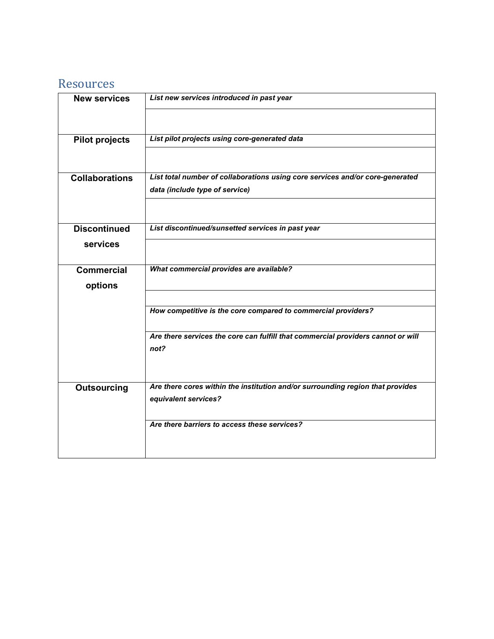#### <span id="page-3-0"></span>**Resources**

| <b>New services</b>          | List new services introduced in past year                                                                       |
|------------------------------|-----------------------------------------------------------------------------------------------------------------|
| <b>Pilot projects</b>        | List pilot projects using core-generated data                                                                   |
| <b>Collaborations</b>        | List total number of collaborations using core services and/or core-generated<br>data (include type of service) |
| <b>Discontinued</b>          | List discontinued/sunsetted services in past year                                                               |
| services                     |                                                                                                                 |
| <b>Commercial</b><br>options | What commercial provides are available?                                                                         |
|                              | How competitive is the core compared to commercial providers?                                                   |
|                              | Are there services the core can fulfill that commercial providers cannot or will<br>not?                        |
| <b>Outsourcing</b>           | Are there cores within the institution and/or surrounding region that provides<br>equivalent services?          |
|                              | Are there barriers to access these services?                                                                    |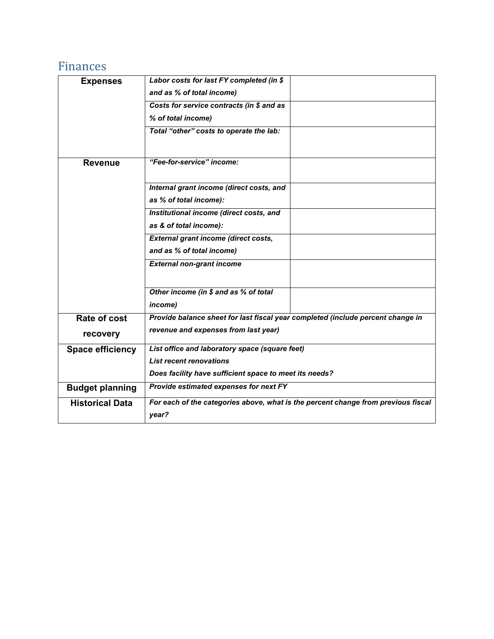#### <span id="page-4-0"></span>Finances

| <b>Expenses</b>         | Labor costs for last FY completed (in \$                                          |  |  |
|-------------------------|-----------------------------------------------------------------------------------|--|--|
|                         | and as % of total income)                                                         |  |  |
|                         | Costs for service contracts (in \$ and as                                         |  |  |
|                         | % of total income)                                                                |  |  |
|                         | Total "other" costs to operate the lab:                                           |  |  |
|                         |                                                                                   |  |  |
| <b>Revenue</b>          | "Fee-for-service" income:                                                         |  |  |
|                         | Internal grant income (direct costs, and                                          |  |  |
|                         | as % of total income):                                                            |  |  |
|                         | Institutional income (direct costs, and                                           |  |  |
|                         | as & of total income):                                                            |  |  |
|                         | External grant income (direct costs,                                              |  |  |
|                         | and as % of total income)                                                         |  |  |
|                         | <b>External non-grant income</b>                                                  |  |  |
|                         |                                                                                   |  |  |
|                         | Other income (in \$ and as % of total                                             |  |  |
|                         | income)                                                                           |  |  |
| <b>Rate of cost</b>     | Provide balance sheet for last fiscal year completed (include percent change in   |  |  |
| recovery                | revenue and expenses from last year)                                              |  |  |
| <b>Space efficiency</b> | List office and laboratory space (square feet)                                    |  |  |
|                         | <b>List recent renovations</b>                                                    |  |  |
|                         | Does facility have sufficient space to meet its needs?                            |  |  |
| <b>Budget planning</b>  | Provide estimated expenses for next FY                                            |  |  |
| <b>Historical Data</b>  | For each of the categories above, what is the percent change from previous fiscal |  |  |
|                         | year?                                                                             |  |  |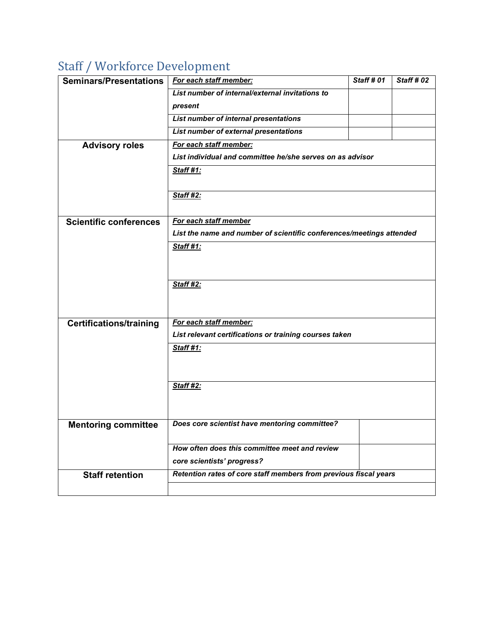# <span id="page-5-0"></span>Staff / Workforce Development

| <b>Seminars/Presentations</b>  | For each staff member:                                               | <b>Staff # 01</b> | <b>Staff # 02</b> |  |
|--------------------------------|----------------------------------------------------------------------|-------------------|-------------------|--|
|                                | List number of internal/external invitations to                      |                   |                   |  |
|                                | present                                                              |                   |                   |  |
|                                | List number of internal presentations                                |                   |                   |  |
|                                | List number of external presentations                                |                   |                   |  |
| <b>Advisory roles</b>          | For each staff member:                                               |                   |                   |  |
|                                | List individual and committee he/she serves on as advisor            |                   |                   |  |
|                                | Staff #1:                                                            |                   |                   |  |
|                                | Staff #2:                                                            |                   |                   |  |
| <b>Scientific conferences</b>  | For each staff member                                                |                   |                   |  |
|                                | List the name and number of scientific conferences/meetings attended |                   |                   |  |
|                                | Staff #1:                                                            |                   |                   |  |
|                                |                                                                      |                   |                   |  |
|                                | Staff #2:                                                            |                   |                   |  |
|                                |                                                                      |                   |                   |  |
| <b>Certifications/training</b> | For each staff member:                                               |                   |                   |  |
|                                | List relevant certifications or training courses taken               |                   |                   |  |
|                                | Staff #1:                                                            |                   |                   |  |
|                                |                                                                      |                   |                   |  |
|                                |                                                                      |                   |                   |  |
|                                | <b>Staff #2:</b>                                                     |                   |                   |  |
|                                |                                                                      |                   |                   |  |
|                                |                                                                      |                   |                   |  |
| <b>Mentoring committee</b>     | Does core scientist have mentoring committee?                        |                   |                   |  |
|                                | How often does this committee meet and review                        |                   |                   |  |
|                                |                                                                      |                   |                   |  |
|                                | core scientists' progress?                                           |                   |                   |  |
| <b>Staff retention</b>         | Retention rates of core staff members from previous fiscal years     |                   |                   |  |
|                                |                                                                      |                   |                   |  |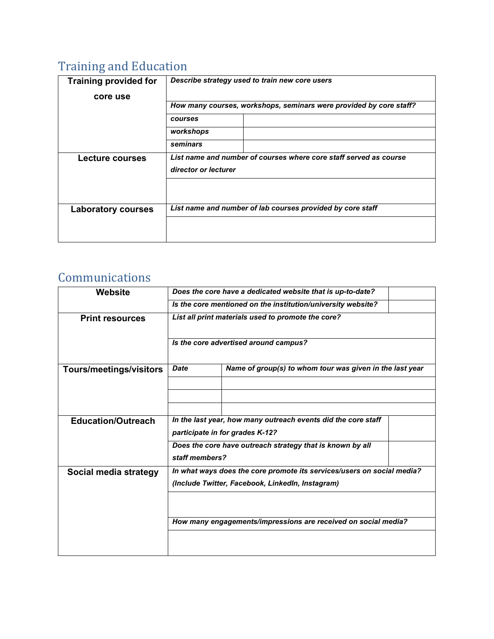# <span id="page-6-0"></span>Training and Education

| <b>Training provided for</b><br>core use | Describe strategy used to train new core users                                            |  |  |  |
|------------------------------------------|-------------------------------------------------------------------------------------------|--|--|--|
|                                          | How many courses, workshops, seminars were provided by core staff?                        |  |  |  |
|                                          | courses                                                                                   |  |  |  |
|                                          | workshops                                                                                 |  |  |  |
|                                          | seminars                                                                                  |  |  |  |
| Lecture courses                          | List name and number of courses where core staff served as course<br>director or lecturer |  |  |  |
|                                          |                                                                                           |  |  |  |
| <b>Laboratory courses</b>                | List name and number of lab courses provided by core staff                                |  |  |  |
|                                          |                                                                                           |  |  |  |

### <span id="page-6-1"></span>**Communications**

| Website                        | Does the core have a dedicated website that is up-to-date?                                                                                                                      |  |  |
|--------------------------------|---------------------------------------------------------------------------------------------------------------------------------------------------------------------------------|--|--|
|                                | Is the core mentioned on the institution/university website?                                                                                                                    |  |  |
| <b>Print resources</b>         | List all print materials used to promote the core?                                                                                                                              |  |  |
|                                | Is the core advertised around campus?                                                                                                                                           |  |  |
| <b>Tours/meetings/visitors</b> | <b>Date</b><br>Name of group(s) to whom tour was given in the last year                                                                                                         |  |  |
|                                |                                                                                                                                                                                 |  |  |
|                                |                                                                                                                                                                                 |  |  |
|                                |                                                                                                                                                                                 |  |  |
| <b>Education/Outreach</b>      | In the last year, how many outreach events did the core staff<br>participate in for grades K-12?<br>Does the core have outreach strategy that is known by all<br>staff members? |  |  |
|                                |                                                                                                                                                                                 |  |  |
|                                |                                                                                                                                                                                 |  |  |
|                                |                                                                                                                                                                                 |  |  |
| Social media strategy          | In what ways does the core promote its services/users on social media?                                                                                                          |  |  |
|                                | (Include Twitter, Facebook, LinkedIn, Instagram)                                                                                                                                |  |  |
|                                |                                                                                                                                                                                 |  |  |
|                                | How many engagements/impressions are received on social media?                                                                                                                  |  |  |
|                                |                                                                                                                                                                                 |  |  |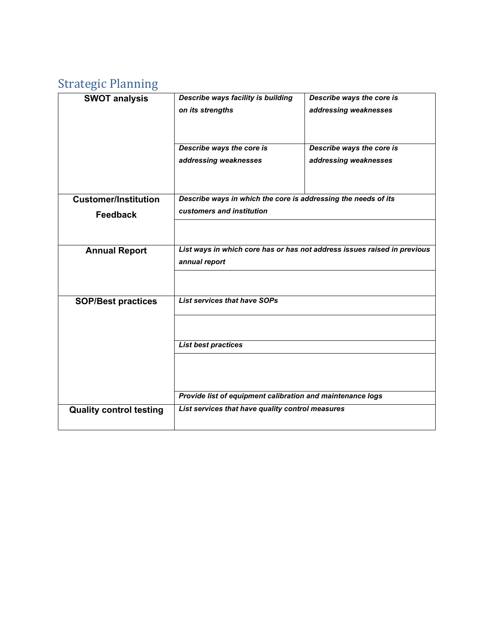### <span id="page-7-0"></span>Strategic Planning

| <b>SWOT analysis</b>           | Describe ways facility is building<br>on its strengths                   | Describe ways the core is<br>addressing weaknesses |  |
|--------------------------------|--------------------------------------------------------------------------|----------------------------------------------------|--|
|                                |                                                                          |                                                    |  |
|                                | Describe ways the core is                                                | Describe ways the core is                          |  |
|                                | addressing weaknesses                                                    | addressing weaknesses                              |  |
| <b>Customer/Institution</b>    | Describe ways in which the core is addressing the needs of its           |                                                    |  |
| <b>Feedback</b>                | customers and institution                                                |                                                    |  |
|                                |                                                                          |                                                    |  |
| <b>Annual Report</b>           | List ways in which core has or has not address issues raised in previous |                                                    |  |
|                                | annual report                                                            |                                                    |  |
|                                |                                                                          |                                                    |  |
| <b>SOP/Best practices</b>      | <b>List services that have SOPs</b>                                      |                                                    |  |
|                                |                                                                          |                                                    |  |
|                                | <b>List best practices</b>                                               |                                                    |  |
|                                |                                                                          |                                                    |  |
|                                | Provide list of equipment calibration and maintenance logs               |                                                    |  |
| <b>Quality control testing</b> | List services that have quality control measures                         |                                                    |  |